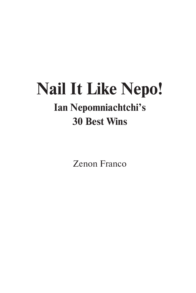# **Nail It Like Nepo! Ian Nepomniachtchi's 30 Best Wins**

Zenon Franco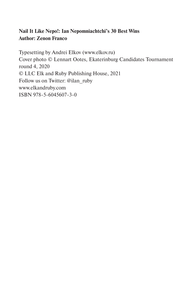# **Nail It Like Nepo!: Ian Nepomniachtchi's 30 Best Wins Author: Zenon Franco**

Typesetting by Andrei Elkov (www.elkov.ru) Cover photo © Lennart Ootes, Ekaterinburg Candidates Tournament round 4, 2020 © LLC Elk and Ruby Publishing House, 2021 Follow us on Twitter: @ilan\_ruby www.elkandruby.com ISBN 978-5-6045607-3-0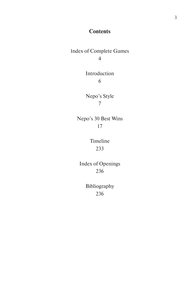# **Contents**

Index of Complete Games 4

> Introduction 6

Nepo's Style 7

Nepo's 30 Best Wins 17

> Timeline 233

Index of Openings 236

> Bibliography 236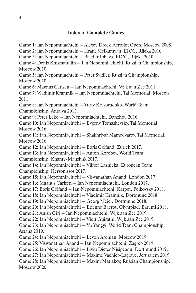Game 1: Ian Nepomniachtchi – Alexey Dreev, Aeroflot Open, Moscow 2008. Game 2: Ian Nepomniachtchi – Hrant Melkumyan, EICC, Rijeka 2010. Game 3: Ian Nepomniachtchi – Baadur Jobava, EICC, Rijeka 2010. Game 4: Denis Khismatullin – Ian Nepomniachtchi, Russian Championship, Moscow 2010. Game 5: Ian Nepomniachtchi – Peter Svidler, Russian Championship, Moscow 2010. Game 6: Magnus Carlsen – Ian Nepomniachtchi, Wijk aan Zee 2011. Game 7: Vladimir Kramnik – Ian Nepomniachtchi, Tal Memorial, Moscow 2011. Game 8: Ian Nepomniachtchi – Yuriy Kryvoruchko, World Team Championship, Antalya 2013. Game 9: Peter Leko – Ian Nepomniachtchi, Danzhou 2016. Game 10: Ian Nepomniachtchi – Evgeny Tomashevsky, Tal Memorial, Moscow 2016. Game 11: Ian Nepomniachtchi – Shakhriyar Mamedyarov, Tal Memorial, Moscow 2016. Game 12: Ian Nepomniachtchi – Boris Gelfand, Zurich 2017. Game 13: Ian Nepomniachtchi – Anton Korobov, World Team Championship, Khanty-Mansiysk 2017. Game 14: Ian Nepomniachtchi – Viktor Laznicka, European Team Championship, Hersonissos 2017. Game 15: Ian Nepomniachtchi – Viswanathan Anand, London 2017. Game 16: Magnus Carlsen – Ian Nepomniachtchi, London 2017. Game 17: Boris Gelfand – Ian Nepomniachtchi, Karpov, Poikovsky 2018. Game 18: Ian Nepomniachtchi – Vladimir Kramnik, Dortmund 2018. Game 19: Ian Nepomniachtchi – Georg Meier, Dortmund 2018. Game 20: Ian Nepomniachtchi – Etienne Bacrot, Olympiad, Batumi 2018. Game 21: Anish Giri – Ian Nepomniachtchi, Wijk aan Zee 2019. Game 22: Ian Nepomniachtchi – Vidit Gujrathi, Wijk aan Zee 2019. Game 23: Ian Nepomniachtchi – Yu Yangyi, World Team Championship, Astana 2019. Game 24: Ian Nepomniachtchi – Levon Aronian, Moscow 2019. Game 25: Viswanathan Anand – Ian Nepomniachtchi, Zagreb 2019. Game 26: Ian Nepomniachtchi – Liviu Dieter Nisipeanu, Dortmund 2019. Game 27: Ian Nepomniachtchi – Maxime Vachier-Lagrave, Jerusalem 2019. Game 28: Ian Nepomniachtchi – Maxim Matlakov, Russian Championship, Moscow 2020.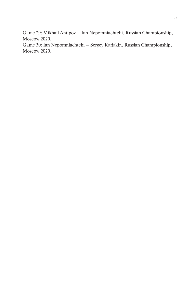Game 29: Mikhail Antipov – Ian Nepomniachtchi, Russian Championship, Moscow 2020.

Game 30: Ian Nepomniachtchi – Sergey Karjakin, Russian Championship, Moscow 2020.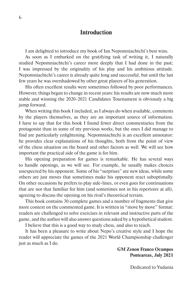## **Introduction**

I am delighted to introduce my book of Ian Nepomniachtchi's best wins.

As soon as I embarked on the gratifying task of writing it, I naturally studied Nepomniachtchi's career more deeply that I had done in the past; I was impressed by the originality of his play and his ambitious attitude. Nepomniachtchi's career is already quite long and successful, but until the last few years he was overshadowed by other great players of his generation.

His often excellent results were sometimes followed by poor performances. However, things began to change in recent years: his results are now much more stable and winning the 2020-2021 Candidates Tournament is obviously a big jump forward.

When writing this book I included, as I always do when available, comments by the players themselves, as they are an important source of information. I have to say that for this book I found fewer direct commentaries from the protagonist than in some of my previous works, but the ones I did manage to find are particularly enlightening. Nepomniachtchi is an excellent annotator: he provides clear explanations of his thoughts, both from the point of view of the chess situation on the board and other factors as well. We will see how important the practical side of the game is for him.

His opening preparation for games is remarkable. He has several ways to handle openings, as we will see. For example, he usually makes choices unexpected by his opponent. Some of his "surprises" are new ideas, while some others are just moves that sometimes make his opponent react suboptimally. On other occasions he prefers to play side-lines, or even goes for continuations that are not that familiar for him (and sometimes not in his repertoire at all), agreeing to discuss the opening on his rival's theoretical terrain.

This book contains 30 complete games and a number of fragments that give more context on the commented game. It is written in "move by move" format: readers are challenged to solve exercises in relevant and instructive parts of the game, and the author will also answer questions asked by a hypothetical student.

I believe that this is a good way to study chess, and also to teach.

It has been a pleasure to write about Nepo's creative style and I hope the reader will appreciate the games of the 2021 World Championship challenger just as much as I do.

#### **GM Zenon Franco Ocampos Ponteareas, July 2021**

Dedicated to Yudania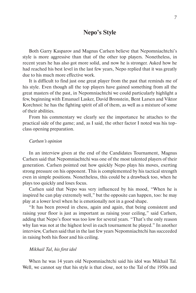## **Nepo's Style**

Both Garry Kasparov and Magnus Carlsen believe that Nepomniachtchi's style is more aggressive than that of the other top players. Nonetheless, in recent years he has also got more solid, and now he is stronger. Asked how he had reached his best level in the last few years, Nepo replied that it was greatly due to his much more effective work.

It is difficult to find just one great player from the past that reminds me of his style. Even though all the top players have gained something from all the great masters of the past, in Nepomniachtchi we could particularly highlight a few, beginning with Emanuel Lasker, David Bronstein, Bent Larsen and Viktor Korchnoi: he has the fighting spirit of all of them, as well as a mixture of some of their abilities.

From his commentary we clearly see the importance he attaches to the practical side of the game; and, as I said, the other factor I noted was his topclass opening preparation.

#### *Carlsen's opinion*

In an interview given at the end of the Candidates Tournament, Magnus Carlsen said that Nepomniachtchi was one of the most talented players of their generation. Carlsen pointed out how quickly Nepo plays his moves, exerting strong pressure on his opponent. This is complemented by his tactical strength even in simple positions. Nonetheless, this could be a drawback too, when he plays too quickly and loses focus.

Carlsen said that Nepo was very influenced by his mood, "When he is inspired he can play extremely well," but the opposite can happen, too: he may play at a lower level when he is emotionally not in a good shape.

"It has been proved in chess, again and again, that being consistent and raising your floor is just as important as raising your ceiling," said Carlsen, adding that Nepo's floor was too low for several years. "That's the only reason why Ian was not at the highest level in each tournament he played." In another interview, Carlsen said that in the last few years Nepomniachtchi has succeeded in raising both his floor and his ceiling.

#### *Mikhail Tal, his first idol*

When he was 14 years old Nepomniachtchi said his idol was Mikhail Tal. Well, we cannot say that his style is that close, not to the Tal of the 1950s and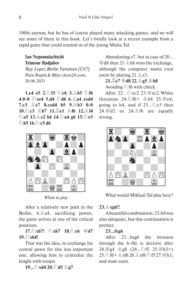1960s anyway, but he has of course played many attacking games, and we will see some of them in this book. Let's briefly look at a recent example from a rapid game that could remind us of the young Misha Tal.

**Ian Nepomniachtchi Teimour Radjabov**

*Ruy Lopez Berlin Variation [C67]* Paris Rapid & Blitz chess24.com, 20.06.2021

**1.e4 e5 2. 百3 乞c6 3. 息b5 乞f6 4.0-0** C**xe4 5.d4** C**d6 6.**E**a4 exd4 7.c3** E**e7 8.cxd4 b5 9.**E**b3 0-0 10.**C**c3** E**b7 11.**G**e1** E**f6 12.**E**f4**  C**a5 13.**E**c2 b4 14.**C**a4 g6 15.**C**e5**  தி**b5 16.**@c**5 d6** 



*White to play* 

After a relatively new path in the Berlin,  $6.\stackrel{\wedge}{\leq} 34$ , sacrificing pawns, the game arrives at one of the critical positions.

**17.**C**xb7!** C**xb7 18.**C**c6** I**d7**   $19.$  $\circ$ **xb4!** 

That was the idea, to exchange his central pawn for this less important one, allowing him to centralize the knight with tempo.

**19…**C**xd4 20.**C**d5** E**g7**

Abandoning e7, but in case of 20...  $\mathbb{W}$ d8 then 21. All h6 wins the exchange, although the computer wants even more by playing  $21.\n\triangleq e3$ .

**21.** $E$ **e7 曾d8 22.** $E$ **g5 曾h8** Avoiding  $\hat{\otimes}$  f6 with check.

After  $22 \sqrt{2}$   $\sqrt{2}$   $23 \sqrt{2}$  White threatens  $24.\textcircled{5}$  f6+  $\circled{2}$  h8 25. We4. going to h4, and if  $23...\&c5$  then  $24.$  If  $42$  or  $24.$   $\&$  f6 are equally strong.



What would Mikhail Tal play here?

#### **23.**E**xg6!!**

A beautiful combination; 23.h4 was also adequate, but this continuation is prettier.

#### **23…fxg6**

After 23...hxg6 the invasion through the h-file is decisive after 24. 曾g4 宫g8 (24... 公f5 25. 曾h3+) 25.  $6 + 2x$  f 6 26. x f 6  $2f$  5 27. F 13, and mate soon.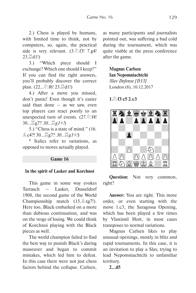2.) Chess is played by humans, with limited time to think, not by computers, so, again, the practical side is very relevant.  $(3.\textcircled{2}f3! \quad 7.g4!$  $23.\Xi$ d1!)

3.) "Which piece should I exchange? Which one should I keep?" If you can find the right answers, you'll probably discover the correct plan.  $(22...\text{\textdegreeled{2}})$  f6!  $23.\text{H}$  d1!)

4.) After a move you missed, don't panic! Even though it's easier said than done  $-$  as we saw, even top players can react poorly to an unexpected turn of events.  $(27.2)$ 30...Gg7? *30...*G*g1+!*)

5.) "Chess is a state of mind." (16. Ec4?! 30…Gg7? *30…*G*g1+!*)

\* Italics refer to variations, as opposed to moves actually played.

## **Game 16**

#### **In the spirit of Lasker and Korchnoi**

This game in some way evokes Tarrasch – Lasker, Dusseldorf 1908, the second game of the World Championship match  $(15. \triangle xg7!)$ . Here too, Black embarked on a more than dubious continuation, and was on the verge of losing. We could think of Korchnoi playing with the Black pieces as well.

The world champion failed to find the best way to punish Black's daring maneuver and began to commit mistakes, which led him to defeat. In this case there were not just chess factors behind the collapse. Carlsen,

as many participants and journalists pointed out, was suffering a bad cold during the tournament, which was quite visible at the press conference after the game.

**Magnus Carlsen Ian Nepomniachtchi**  *Slav Defense [D13]* London (8), 10.12.2017

**1.**C**f3 c5 2.c3** 



**Question:** Not very common, right?

**Answer:** You are right. This move order, or even starting with the move 1.c3, the Saragossa Opening, which has been played a few times by Vlastimil Hort, in most cases transposes to normal variations.

Magnus Carlsen likes to play unusual openings, mostly in blitz and rapid tournaments. In this case, it is an invitation to play a Slav, trying to lead Nepomniachtchi to unfamiliar territory.

**2...d5**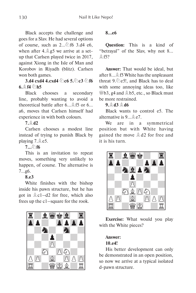Black accepts the challenge and goes for a Slav. He had several options of course, such as  $2...\text{\textdegreeled{2}}$  f6 3.d4 e6, when after 4. $\angle$  g5 we arrive at a setup that Carlsen played twice in 2017, against Xiong in the Isle of Man and Korobov in Riyadh (blitz). Carlsen won both games.

**3.d4 cxd4 4.cxd4**  $\oslash$  **c6 5.** $\oslash$  **c3**  $\oslash$  **f6**  $6.$  $\oplus$   $f4$   $\oslash$   $h5$ 

Black chooses a secondary line, probably wanting to avoid a theoretical battle after  $6 \dots \hat{2}$  f5 or  $6 \dots$ a6, moves that Carlsen himself had experience in with both colours.

## **7.**E**d2**

Carlsen chooses a modest line instead of trying to punish Black by playing 7. e5.

## **7....** ① **f6**

This is an invitation to repeat moves, something very unlikely to happen, of course. The alternative is 7...g6.

## **8.e3**

White finishes with the bishop inside his pawn structure, but he has got in  $\triangle$  c1–d2 for free, which also frees up the c1–square for the rook.



## **8...e6**

**Question:** This is a kind of "betrayal" of the Slav, why not 8...  $&$  f5?

**Answer:** That would be ideal, but after 8... **£** f5 White has the unpleasant threat  $9.\overline{2}$  e5!, and Black has to deal with some annoying ideas too, like <sup>Ш</sup>в3, g4 and **≜b5**, etc., so Black must be more restrained.

#### **9.**E**d3** E**d6**

Black wants to control e5. The alternative is  $9...$   $2e7$ .

We are in a symmetrical position but with White having gained the move  $\triangle$  d2 for free and it is his turn.



**Exercise:** What would you play with the White pieces?

#### **Answer: 10.e4!**

His better development can only be demonstrated in an open position, so now we arrive at a typical isolated d-pawn structure.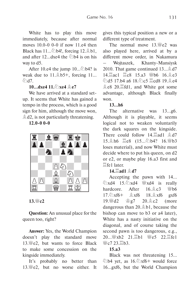White has to play this move immediately, because after normal moves 10.0-0 0-0 if now 11.e4 then Black has  $11...\text{\textdegreeled{}}104!$ , forcing  $12.\text{\textdegreeled{}}101$ , and after 12... dxe4 the  $\hat{\varphi}$  b4 is on his way to d5.

After 10.e4 the jump  $10...\text{\textcircled{2}} b4$ ? is weak due to  $11.\&{\scriptstyle b}5+$ , forcing  $11...$  $\mathcal{L}$ d7.

#### **10…dxe4 11.**  $\circ$  **xe4**  $\triangleq$  **e7**

We have arrived at a standard setup. It seems that White has gained a tempo in the process, which is a good sign for him, although the move won,  $\triangle$  d2, is not particularly threatening.

**12.0-0 0-0** 



**13.**I**c2**

**Question:** An unusual place for the queen too, right?

**Answer:** Yes, the World Champion doesn't play the standard move 13. $\mathbb{W}$ e2, but wants to force Black to make some concession on the kingside immediately.

It's probably no better than 13. $\mathbb{W}$ e2, but no worse either. It

gives this typical position a new or a different type of treatment.

The normal move  $13.$ <sup>W</sup>e2 was also played here, arrived at by a different move order, in Nakamura – Wojtaszek, Khanty-Mansiysk 2010. That game continued  $13...$   $\&$  d7 14. ac1 耳c8 15.a3 彎b6 16. de3  $\Im$ d5 17.b4 a6 18. $\Im$ c5  $\Xi$ cd8 19. $\&$ e4  $\triangle$  e8 20. $\cong$  fd1, and White got some advantage, although Black finally won.

#### **13...h6**

The alternative was 13...g6. Although it is playable, it seems logical not to weaken voluntarily the dark squares on the kingside. There could follow 14. $\cong$ ad1  $\triangleq$ d7 15. h6 里e8 (15... h4? 16. Wb3 loses material), and now White must decide where to put his queen, on d2 or e2, or maybe play 16.a3 first and  $\mathbb{E}$ fe1 later

**14.**G**ad1** E**d7**

Accepting the pawn with 14... *E*xd4 15. Dxd4 ₩xd4 is really hardcore. After  $16.\&c3 \quad \text{Wb6}$  $17.\hat{\odot}$  xf6  $\pm$   $\&$  xf6  $18.\hat{\&}$  xf6  $\&$  xf6  $19.$  42  $20.2$   $20.2$  (more dangerous than  $20.\hat{\triangle} b1$ , because the bishop can move to b3 or a4 later), White has a nasty initiative on the diagonal, and of course taking the second pawn is too dangerous, e.g., 20... 幽xb2 21. Eb1 幽e5 22. lfe1  $\mathbb{W}$ c7 23 $\mathbb{E}$ b3.

## **15.a3**

Black was not threatening 15...  $\&$  b4 yet, as 16. $\&$ xf6+ would force 16…gxf6, but the World Champion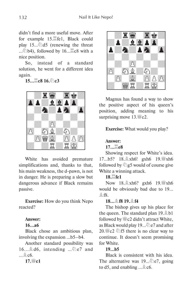didn't find a more useful move. After for example 15. fel, Black could play  $15...\&d5$  (renewing the threat ... $\&$  b4), followed by 16… $\&$ c8 with a nice position.

So, instead of a standard solution, he went for a different idea again.

**15…** $\Xi$ **c8 16.**①c3



White has avoided premature simplifications and, thanks to that, his main weakness, the d-pawn, is not in danger. He is preparing a slow but dangerous advance if Black remains passive.

**Exercise:** How do you think Nepo reacted?

#### **Answer:**

## **16…a6**

Black chose an ambitious plan, involving the expansion …b5–b4.

Another standard possibility was  $16...$  $d6$ , intending  $\ldots$   $d2$  e7 and  $\mathbb{R}$  c6.

**17.**I**c1**



Magnus has found a way to show the positive aspect of his queen's position, adding meaning to his surprising move  $13.$ <sup>W</sup>/<sub>22</sub>.

**Exercise:** What would you play?

#### **Answer:**

**17...**G**e8** 

Showing respect for White's idea. 17...b5? 18. xh6! gxh6 19. With xh6 followed by  $\Im$  g5 would of course give White a winning attack.

**18.** $\Xi$ **fe1** 

Now 18. xh6? gxh6 19. Wy xh6 would be obviously bad due to 19…  $&$  f<sub>8</sub>.

## **18…**E**f8 19.**E**f4**

The bishop gives up his place for the queen. The standard plan  $19.\hat{\triangle}$  b1 followed by  $\mathcal{L}$  c2 didn't attract White, as Black would play 19... $\hat{\mathbb{Q}}$  e7 and after 20.  $\%c2 \& 15$  there is no clear way to continue. It doesn't seem promising for White.

## **19...b5**

Black is consistent with his idea. The alternative was  $19...\&e7$ , going to d5, and enabling  $\ldots \triangle$  c6.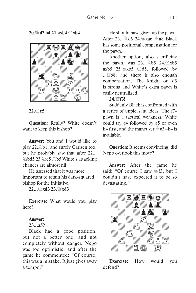**20.** Jd2 b4 21. axb4  $\partial$ \xb4



 $22.6$ **e5** 

**Question:** Really? White doesn't want to keep this bishop?

**Answer:** You and I would like to play  $22.\n\triangleq b1$ , and surely Carlsen too, but he probably saw that after 22... hd5 23. le5 \$ b5 White's attacking chances are almost nil.

He assessed that it was more important to retain his dark-squared bishop for the initiative.

**22...**C**xd3 23.**I**xd3** 

**Exercise:** What would you play here?

#### **Answer:**

#### **23…a5?**

Black had a good position, but not a better one, and not completely without danger. Nepo was too optimistic, and after the game he commented: "Of course, this was a mistake. It just gives away a tempo."

He should have given up the pawn. After  $23 \rightarrow \& \text{c6}$   $24 \times \text{a6}$   $\& \text{a8}$  Black has some positional compensation for the pawn.

Another option, also sacrificing the pawn, was  $23 \dots \triangle 65$   $24 \text{.} \triangle x \times 55$ axb5 25. $\frac{100}{25}$   $\frac{100}{25}$ , followed by …Gb8, and there is also enough compensation. The knight on d5 is strong and White's extra pawn is easily neutralized.

#### 24. *W*f3!

Suddenly Black is confronted with a series of unpleasant ideas. The f7 pawn is a tactical weakness, White could try g4 followed by g5 or even h4 first, and the maneuver  $\triangle$  g3–h4 is available.

**Question:** It seems convincing, did Nepo overlook this move?

**Answer:** After the game he said: "Of course I saw  $\frac{100}{15}$  said: "Of course I saw  $\frac{100}{15}$ couldn't have expected it to be so devastating."



**Exercise:** How would you defend?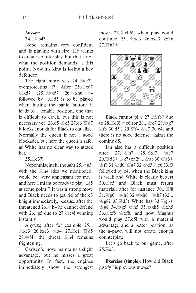## **Answer:**

## **24...**E**b4?**

Nepo remains very confident and is playing with fire. He wants to create counterplay, but that's not what the position demands at this point. Now his king is losing a key defender.

The right move was  $24 \dots \equiv e7!$ , overprotecting f7. After  $25.\&\text{xd7}$  $\&$  xd7 (25...  $\&$  xd7 26.  $\&$  xh6 a4 followed by  $\ldots \textcircled{2d5}$  is to be played when hitting the panic button: it leads to a tenable position, one that is difficult to crack, but this is not necessary yet)  $26. d5 \&c5 \;27. d6 \&d7$ it looks enough for Black to equalize. Normally the queen is not a good blockader, but here the queen is safe, as White has no clear way to attack her.

## **25.**G**e3?!**

Nepomniachtchi thought  $25.\n\triangleq g3$ , with the  $\triangleq$  h4 idea we mentioned, would be "very unpleasant for me... and here I might be ready to play …g5 at some point." It was a strong move and Black needs to get rid of the c3 knight immediately, because after the threatened 26. h4 he cannot defend with  $26...g5$  due to  $27.\textcircled{2}$  e4! winning instantly.

Anyway, after for example 25…  $&xc3$  26.bxc3  $&a4$  27. $&xc1$   $&yd5$ 28. $\frac{100}{26}$  f4, the threat  $\frac{4}{26}$  h4 remains frightening.

Carlsen's move maintains a slight advantage, but he misses a great opportunity. In fact, the engines immediately show the strongest move, 25.  $\&$  xh6!, when play could continue  $25 \dots \& \text{xc}3$   $26 \text{ bxc}3$   $\text{ex}h6$  $27.$  @  $23+$ 



Black cannot play 27... \$ f8? due to 28. d3! 2c6 (or 28...  $29.$  Wg7  $\Xi$ f8 30.d5!) 29. [14]  $\cong$  e7 30.c4, and there is no good defense against the coming d5.

Ian also has a difficult position after  $27 \dots \cong h7$   $28 \sqrt{3} \times 57$   $\cong$   $e7$  $29.$  We d 3 +  $\frac{1}{2}$  g 7 (or 29...  $\frac{1}{2}$  g 8 30. W g 6 + 會f8 31.2d6! 響g7 32. 響d3 **g c6 33.f3** followed by c4, when the Black king is weak and White is clearly better) 30. $\circled{2e5}$  and Black must return material: after for instance  $30...$ 31. 曾g6+ 宮h8 32. 曾xh6+ 曾h7 (32...  $\circ$  g8? 33. $\ddot{=}$ d3) White has 33. $\circ$ g6+ 曾g8 34. ys5 Wh5 35. Wixh5 2xh5 36. Xf8 \$xf8, and now Magnus would play 37.d5! with a material advantage and a better position, as the a-pawn will not create enough counterplay.

Let's go back to our game, after  $25.$  $\Xi$ e3.

**Exercise (simple):** How did Black justify his previous moves?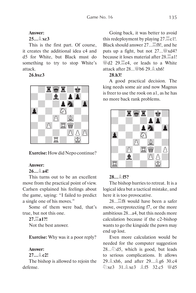## **Answer:**

**25...**E**xc3** 

This is the first part. Of course, it creates the additional idea c4 and d5 for White, but Black must do something to try to stop White's attack.

## **26.bxc3**



**Exercise:** How did Nepo continue?

## **Answer:**

## $26.894!$

This turns out to be an excellent move from the practical point of view. Carlsen explained his feelings about the game, saying: "I failed to predict a single one of his moves."

Some of them were bad, that's true, but not this one.

## **27.**G**a1?!**

Not the best answer.

**Exercise:** Why was it a poor reply?

## **Answer:**

**27...**E**c2!** 

The bishop is allowed to rejoin the defense.

Going back, it was better to avoid this redeployment by playing  $27.\overline{\mathbb{Z}} c1!.$ Black should answer 27... <br>
<u>Elack should answer</u> 27... <br>
<u>Elack</u> should answer 27... puts up a fight, but not  $27 \dots$  W xd4? because it loses material after  $28.\overline{2}a1!$ <sup>幽</sup>d2 29. e4, or leads to a White attack after  $28...$  b6  $29.$   $\&$  xh6!

## **28.h3!**

A good practical decision. The king needs some air and now Magnus is freer to use the rook on a1, as he has no more back rank problems.



## **28...**E**f5?**

The bishop hurries to retreat. It is a logical idea but a tactical mistake, and here it is too provocative.

 $28...$   $\mathbb{Z}$  f8 would have been a safer move, overprotecting f7, or the more ambitious 28…a4, but this needs more calculation because if the c2-bishop wants to go the kingside the pawn may end up lost.

Even more calculation would be needed for the computer suggestion  $28...\textcircled{2}d5$ , which is good, but leads to serious complications. It allows 29. **A** xh6, and after 29... **A** g6 30.c4  $\Im$  xe3  $\Im$  1.  $\Im$  xe3  $\Im$  f5 32.c5  $\Im$  d5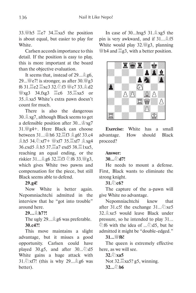33. No <br> **Exa5** the position is about equal, but easier to play for White.

Carlsen accords importance to this detail. If the position is easy to play, this is more important at the board than the objective evaluation.

It seems that, instead of  $29...\hat{2}96$ , 29...  $\mathcal{L}$  e7! is stronger, as after 30.  $\mathcal{L}$  g3 f6 31. Le2 Lxc3 32. 5f3 Wc7 33. d2 **Wxg3** 34.fxg3 **I**c6 35. xa5 or 35.Exa5 White's extra pawn doesn't count for much.

There is also the dangerous  $30.\n\triangle$  xg7, although Black seems to get a defensible position after  $30...$  $\frac{3}{2}xg7$ 31.Ig4+. Here Black can choose between 31... <br> **hof** 32. <br>
<u>Ef3</u> **<u>a</u>g6!** 33.c4  $\hat{\mathbb{E}}$  h5 34. $\hat{\mathbb{E}}$ xf7 +  $\hat{\mathbb{E}}$ xf7 35. $\hat{\mathbb{E}}$ xf7  $\hat{\mathbb{E}}$ xg4 36.cxd5 **拿h5 37.** $\Xi$ a7 exd5 38. $\Xi$ 1xa5, reaching an equal ending, or the riskier 31... g6 32. 耳f3 公f6 33. 曾g3, which gives White two pawns and compensation for the piece, but still Black seems able to defend.

## **29.g4!**

Now White is better again. Nepomniachtchi admitted in the interview that he "got into trouble" around here.

## **29...**E**h7?!**

#### The ugly  $29...$   $26$  was preferable. **30.c4?!**

This move maintains a slight advantage, but it misses a good opportunity. Carlsen could have played 30.g5, and after  $30...\text{\textdegreeled{2}}$ d5 White gains a huge attack with 31. $\Im$ xf7! (this is why 29... $\Im$  g6 was better).

In case of  $30...h$ xg5  $31.\overset{\triangle}{\otimes}$ xg5 the pin is very awkward, and if  $31...$ \$f5 White would play 32. $\frac{100}{25}$  planning  $\mathbb{F}$ h4 and  $\mathbb{E}$ g3, with a better position.



**Exercise:** White has a small advantage. How should Black proceed?

## **Answer:**

#### **30...**C**d7!**

He needs to mount a defense. First, Black wants to eliminate the strong knight.

#### $31.6$  c<sub>6</sub>?

The capture of the a-pawn will give White no advantage.

Nepomniachtchi knew that after 31.c5! the exchange  $31...\&space2$  xe5 32.Exe5 would leave Black under pressure, so he intended to play 31...  $\textcircled{1}$  f6 with the idea of ... $\textcircled{1}$  d5, but he admitted it might be "double-edged."

#### **31...**I**f6!**

The queen is extremely effective here, as we will see.

```
32. \circ \times 35Not 32.\Xixa5? g5, winning.
32... h6
```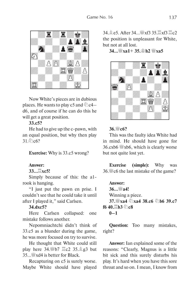

Now White's pieces are in dubious places. He wants to play c5 and  $\&$  c4d6, and of course if he can do this he will get a great position.

## **33.c5?**

He had to give up the c-pawn, with an equal position, but why then play 31.2c6?

**Exercise:** Why is 33.c5 wrong?

#### **Answer:**

#### **33...**G**xc5!**

Simply because of this: the a1 rook is hanging.

"I just put the pawn en prise. I couldn't see that he could take it until after I played it," said Carlsen.

#### **34.dxc5?**

Here Carlsen collapsed: one mistake follows another.

Nepomniachtchi didn't think of 33.c5 as a blunder during the game, he was more focused on try to survive.

He thought that White could still play here  $34.$  Wb7  $\angle$ C2  $35.$   $\angle$  g3 but  $35...$  W xd4 is better for Black.

Recapturing on c5 is surely worse. Maybe White should have played  $34.9e5$  After  $34.94x$   $\frac{100}{100}x$   $35.2x$   $73.2c$ the position is unpleasant for White, but not at all lost.

**34...**I**xa1**+ **35.**K**h2** I**xa5** 



#### **36.**I**c6?**

This was the faulty idea White had in mind. He should have gone for 36.cxb6  $\frac{30}{2}$ xb6, which is clearly worse but not quite lost yet.

**Exercise (simple):** Why was 36. $\%$  c6 the last mistake of the game?

**Answer: 36...**I**a4!** Winning a piece. **37.**Wxa4  $\Diamond$ \xa4 38.c6  $\Diamond$ \b6 39.c7 **f6 40.** $\Box$ **b3** の**c8 0–1**

**Question:** Too many mistakes, right?

**Answer:** Ian explained some of the reasons: "Clearly, Magnus is a little bit sick and this surely disturbs his play. It's hard when you have this sore throat and so on. I mean, I know from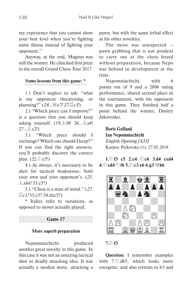my experience that you cannot show your best level when you're fighting some illness instead of fighting your opponent."

Anyway, at the end, Magnus was still the winner. He clinched first prize in the overall Grand Chess Tour 2017.

#### **Some lessons from this game: \***

1.) Don't neglect to ask: "what is my opponent threatening, or planning?" (*24...*I*e7! 27.*G*c1*!)

2.) "Which piece can I improve?" is a question that you should keep asking yourself.  $(19.2 \n\& 14! 26... \n\& 24!$ 27…Ec2!)

3.) "Which piece should I exchange? Which one should I keep?" If you can find the right answers, you'll probably discover the correct plan.  $(22.2e5!)$ 

4.) As always, it's necessary to be alert for tactical weaknesses, both your own and your opponent's. (*25.* E*xh6!* 33.c5?)

5.) "Chess is a state of mind." (*27.* G*c1!* 33.c5? 34.dxc5?)

\* Italics refer to variations, as opposed to moves actually played.

#### **Game 17**

#### **More superb preparation**

Nepomniachtchi produced another great novelty in this game. In this case it was not an amazing tactical shot or deadly attacking idea. It was actually a modest move, attacking a

pawn, but with the same lethal effect as his other novelties.

The move was unexpected – pawn grabbing that is not prudent to carry out at the chess board without preparation, because Nepo was behind in development at the time.

Nepomniachtchi, with 6 points out of 9 and a 2806 rating performance, shared second place in the tournament, with his opponent in this game. They finished half a point behind the winner, Dmitry Jakovenko.

**Boris Gelfand Ian Nepomniachtchi**  *English Opening [A33]* Karpov, Poikovsky (1), 27.05.2018

**1.** $\sqrt[6]{5}$  c5 2.c4  $\sqrt[6]{2}$  c6 3.d4 cxd4 **4.**C**xd4** C**f6 5.**C**c3 e6 6.g3** I**b6** 



#### **7.**C**f3**

**Question:** I remember examples with  $7.\overline{\textcircled{2}}$  db5, which looks more energetic, and also retreats to b3 and